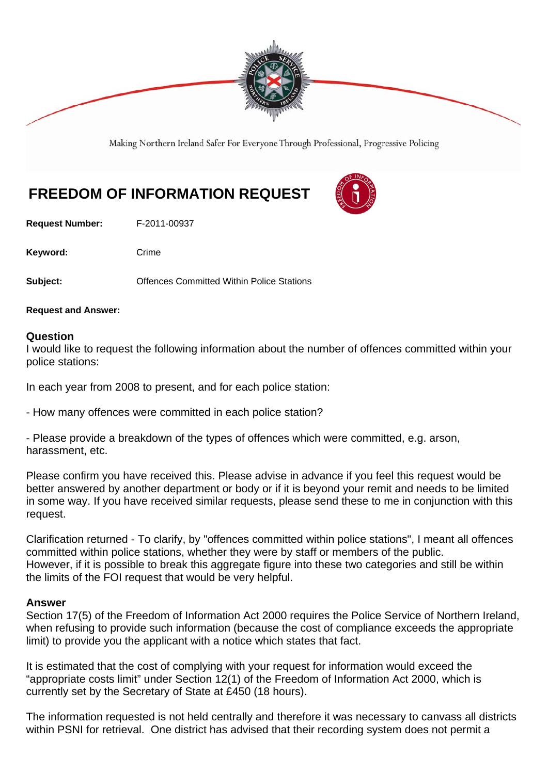

Making Northern Ireland Safer For Everyone Through Professional, Progressive Policing

## **FREEDOM OF INFORMATION REQUEST**

**Request Number:** F-2011-00937

Keyword: Crime

**Subject: Committed Within Police Stations** 

**Request and Answer:** 

## **Question**

I would like to request the following information about the number of offences committed within your police stations:

In each year from 2008 to present, and for each police station:

- How many offences were committed in each police station?

- Please provide a breakdown of the types of offences which were committed, e.g. arson, harassment, etc.

Please confirm you have received this. Please advise in advance if you feel this request would be better answered by another department or body or if it is beyond your remit and needs to be limited in some way. If you have received similar requests, please send these to me in conjunction with this request.

Clarification returned - To clarify, by "offences committed within police stations", I meant all offences committed within police stations, whether they were by staff or members of the public. However, if it is possible to break this aggregate figure into these two categories and still be within the limits of the FOI request that would be very helpful.

## **Answer**

Section 17(5) of the Freedom of Information Act 2000 requires the Police Service of Northern Ireland, when refusing to provide such information (because the cost of compliance exceeds the appropriate limit) to provide you the applicant with a notice which states that fact.

It is estimated that the cost of complying with your request for information would exceed the "appropriate costs limit" under Section 12(1) of the Freedom of Information Act 2000, which is currently set by the Secretary of State at £450 (18 hours).

The information requested is not held centrally and therefore it was necessary to canvass all districts within PSNI for retrieval. One district has advised that their recording system does not permit a